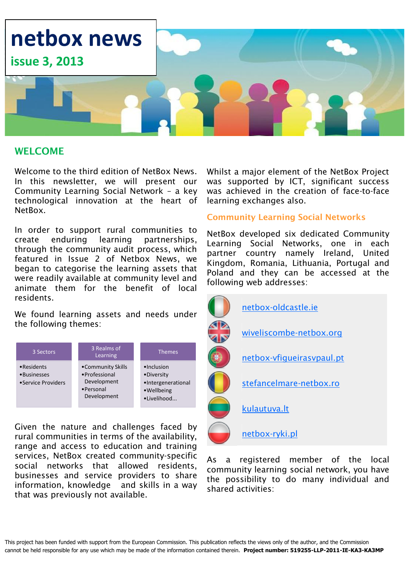

# **WELCOME**

Welcome to the third edition of NetBox News. In this newsletter, we will present our Community Learning Social Network – a key technological innovation at the heart of NetBox.

In order to support rural communities to create enduring learning partnerships, through the community audit process, which featured in Issue 2 of Netbox News, we began to categorise the learning assets that were readily available at community level and animate them for the benefit of local residents.

We found learning assets and needs under the following themes:



Given the nature and challenges faced by rural communities in terms of the availability, range and access to education and training services, NetBox created community-specific social networks that allowed residents, businesses and service providers to share information, knowledge and skills in a way that was previously not available.

Whilst a major element of the NetBox Project was supported by ICT, significant success was achieved in the creation of face-to-face learning exchanges also.

#### **Community Learning Social Networks**

NetBox developed six dedicated Community Learning Social Networks, one in each partner country namely Ireland, United Kingdom, Romania, Lithuania, Portugal and Poland and they can be accessed at the following web addresses:



As a registered member of the local community learning social network, you have the possibility to do many individual and shared activities: